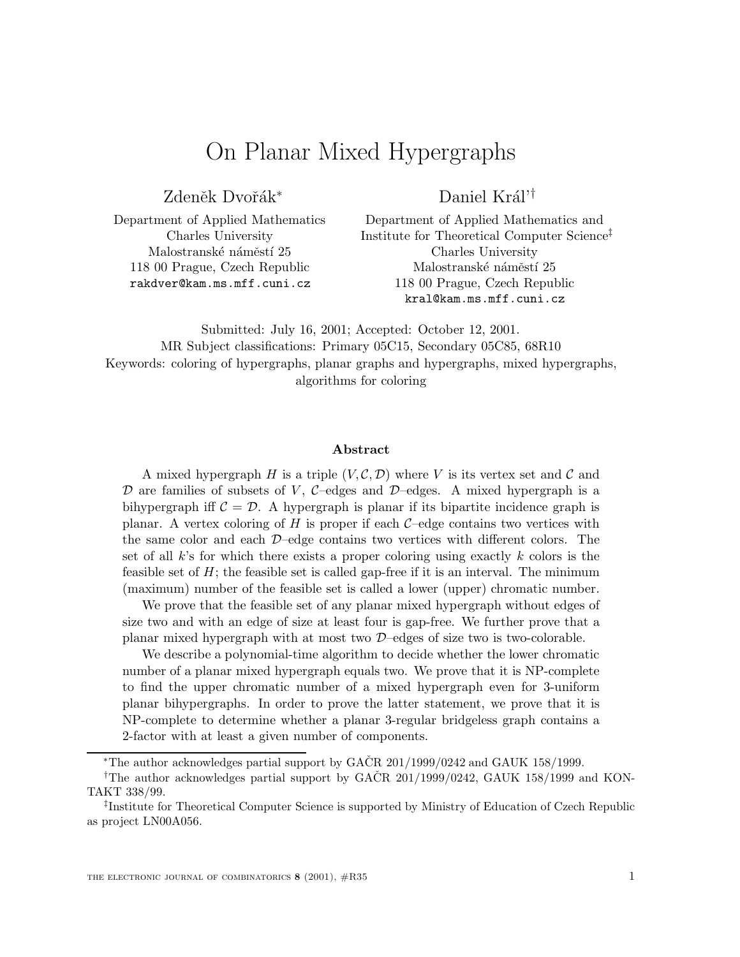# On Planar Mixed Hypergraphs

Zdeněk Dvořák<sup>\*</sup>

Daniel Král'<sup>†</sup>

Department of Applied Mathematics Charles University Malostranské náměstí 25 118 00 Prague, Czech Republic rakdver@kam.ms.mff.cuni.cz

Department of Applied Mathematics and Institute for Theoretical Computer Science‡ Charles University Malostranské náměstí 25 118 00 Prague, Czech Republic kral@kam.ms.mff.cuni.cz

Submitted: July 16, 2001; Accepted: October 12, 2001. MR Subject classifications: Primary 05C15, Secondary 05C85, 68R10 Keywords: coloring of hypergraphs, planar graphs and hypergraphs, mixed hypergraphs, algorithms for coloring

#### **Abstract**

A mixed hypergraph H is a triple  $(V, \mathcal{C}, \mathcal{D})$  where V is its vertex set and C and  $D$  are families of subsets of V, C–edges and D–edges. A mixed hypergraph is a bihypergraph iff  $\mathcal{C} = \mathcal{D}$ . A hypergraph is planar if its bipartite incidence graph is planar. A vertex coloring of H is proper if each  $C$ –edge contains two vertices with the same color and each D–edge contains two vertices with different colors. The set of all  $k$ 's for which there exists a proper coloring using exactly  $k$  colors is the feasible set of  $H$ ; the feasible set is called gap-free if it is an interval. The minimum (maximum) number of the feasible set is called a lower (upper) chromatic number.

We prove that the feasible set of any planar mixed hypergraph without edges of size two and with an edge of size at least four is gap-free. We further prove that a planar mixed hypergraph with at most two D–edges of size two is two-colorable.

We describe a polynomial-time algorithm to decide whether the lower chromatic number of a planar mixed hypergraph equals two. We prove that it is NP-complete to find the upper chromatic number of a mixed hypergraph even for 3-uniform planar bihypergraphs. In order to prove the latter statement, we prove that it is NP-complete to determine whether a planar 3-regular bridgeless graph contains a 2-factor with at least a given number of components.

<sup>\*</sup>The author acknowledges partial support by GACR  $201/1999/0242$  and GAUK 158/1999.

<sup>&</sup>lt;sup>†</sup>The author acknowledges partial support by GACR 201/1999/0242, GAUK 158/1999 and KON-TAKT 338/99.

<sup>‡</sup>Institute for Theoretical Computer Science is supported by Ministry of Education of Czech Republic as project LN00A056.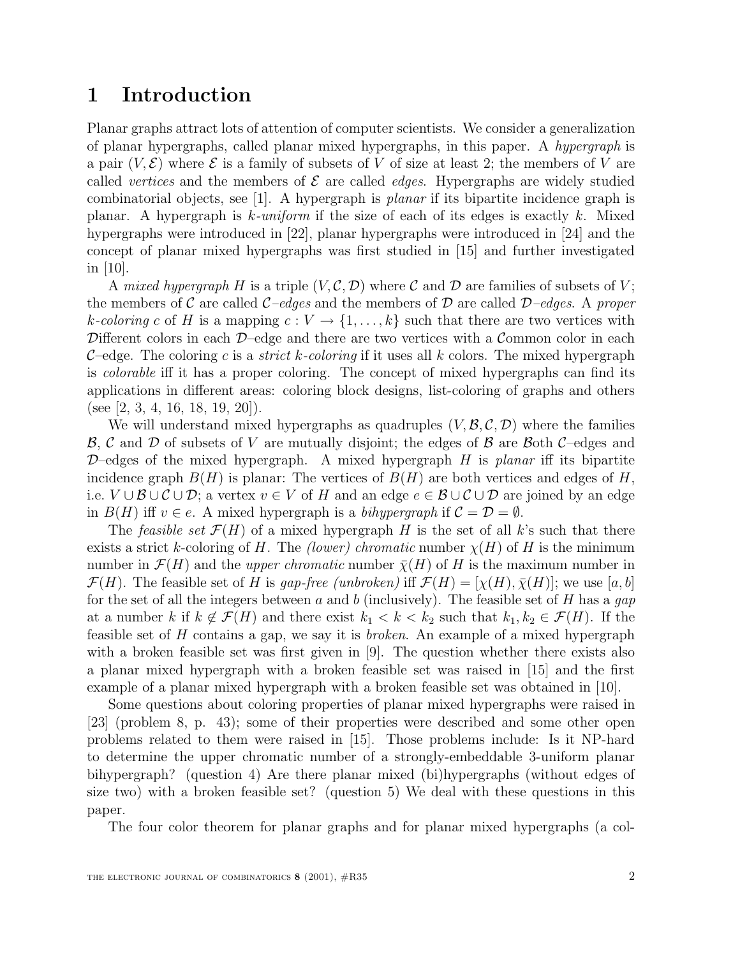### **1 Introduction**

Planar graphs attract lots of attention of computer scientists. We consider a generalization of planar hypergraphs, called planar mixed hypergraphs, in this paper. A hypergraph is a pair  $(V, \mathcal{E})$  where  $\mathcal E$  is a family of subsets of V of size at least 2; the members of V are called vertices and the members of  $\mathcal E$  are called *edges*. Hypergraphs are widely studied combinatorial objects, see [1]. A hypergraph is planar if its bipartite incidence graph is planar. A hypergraph is  $k$ -uniform if the size of each of its edges is exactly k. Mixed hypergraphs were introduced in [22], planar hypergraphs were introduced in [24] and the concept of planar mixed hypergraphs was first studied in [15] and further investigated in [10].

A mixed hypergraph H is a triple  $(V, \mathcal{C}, \mathcal{D})$  where C and D are families of subsets of V; the members of C are called  $C$ –edges and the members of D are called D–edges. A proper k-coloring c of H is a mapping  $c: V \to \{1, \ldots, k\}$  such that there are two vertices with Different colors in each  $D$ –edge and there are two vertices with a Common color in each C–edge. The coloring c is a *strict k-coloring* if it uses all k colors. The mixed hypergraph is colorable iff it has a proper coloring. The concept of mixed hypergraphs can find its applications in different areas: coloring block designs, list-coloring of graphs and others (see [2, 3, 4, 16, 18, 19, 20]).

We will understand mixed hypergraphs as quadruples  $(V, \mathcal{B}, \mathcal{C}, \mathcal{D})$  where the families  $\mathcal{B}, \mathcal{C}$  and  $\mathcal{D}$  of subsets of V are mutually disjoint; the edges of  $\mathcal{B}$  are  $\mathcal{B}$ oth  $\mathcal{C}$ –edges and  $D$ –edges of the mixed hypergraph. A mixed hypergraph H is planar iff its bipartite incidence graph  $B(H)$  is planar: The vertices of  $B(H)$  are both vertices and edges of H, i.e.  $V \cup B \cup C \cup D$ ; a vertex  $v \in V$  of H and an edge  $e \in B \cup C \cup D$  are joined by an edge in  $B(H)$  iff  $v \in e$ . A mixed hypergraph is a bihypergraph if  $C = \mathcal{D} = \emptyset$ .

The *feasible set*  $\mathcal{F}(H)$  of a mixed hypergraph H is the set of all k's such that there exists a strict k-coloring of H. The *(lower)* chromatic number  $\chi(H)$  of H is the minimum number in  $\mathcal{F}(H)$  and the *upper chromatic* number  $\bar{\chi}(H)$  of H is the maximum number in  $\mathcal{F}(H)$ . The feasible set of H is gap-free (unbroken) iff  $\mathcal{F}(H)=[\chi(H), \overline{\chi}(H)]$ ; we use [a, b] for the set of all the integers between a and b (inclusively). The feasible set of H has a gap at a number k if  $k \notin \mathcal{F}(H)$  and there exist  $k_1 < k < k_2$  such that  $k_1, k_2 \in \mathcal{F}(H)$ . If the feasible set of H contains a gap, we say it is broken. An example of a mixed hypergraph with a broken feasible set was first given in [9]. The question whether there exists also a planar mixed hypergraph with a broken feasible set was raised in [15] and the first example of a planar mixed hypergraph with a broken feasible set was obtained in [10].

Some questions about coloring properties of planar mixed hypergraphs were raised in [23] (problem 8, p. 43); some of their properties were described and some other open problems related to them were raised in [15]. Those problems include: Is it NP-hard to determine the upper chromatic number of a strongly-embeddable 3-uniform planar bihypergraph? (question 4) Are there planar mixed (bi)hypergraphs (without edges of size two) with a broken feasible set? (question 5) We deal with these questions in this paper.

The four color theorem for planar graphs and for planar mixed hypergraphs (a col-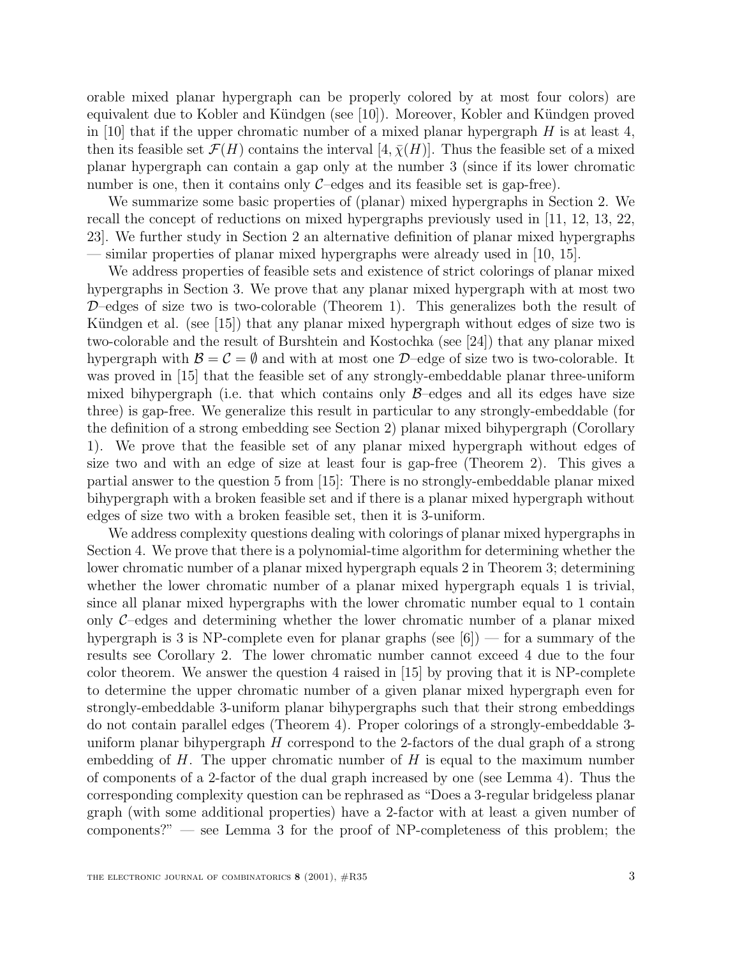orable mixed planar hypergraph can be properly colored by at most four colors) are equivalent due to Kobler and Kündgen (see [10]). Moreover, Kobler and Kündgen proved in [10] that if the upper chromatic number of a mixed planar hypergraph  $H$  is at least 4, then its feasible set  $\mathcal{F}(H)$  contains the interval  $[4, \overline{\chi}(H)]$ . Thus the feasible set of a mixed planar hypergraph can contain a gap only at the number 3 (since if its lower chromatic number is one, then it contains only  $C$ –edges and its feasible set is gap-free).

We summarize some basic properties of (planar) mixed hypergraphs in Section 2. We recall the concept of reductions on mixed hypergraphs previously used in [11, 12, 13, 22, 23]. We further study in Section 2 an alternative definition of planar mixed hypergraphs similar properties of planar mixed hypergraphs were already used in [10, 15].

We address properties of feasible sets and existence of strict colorings of planar mixed hypergraphs in Section 3. We prove that any planar mixed hypergraph with at most two  $D$ –edges of size two is two-colorable (Theorem 1). This generalizes both the result of Kündgen et al. (see  $(15)$ ) that any planar mixed hypergraph without edges of size two is two-colorable and the result of Burshtein and Kostochka (see [24]) that any planar mixed hypergraph with  $\mathcal{B} = \mathcal{C} = \emptyset$  and with at most one  $\mathcal{D}$ -edge of size two is two-colorable. It was proved in [15] that the feasible set of any strongly-embeddable planar three-uniform mixed bihypergraph (i.e. that which contains only  $\beta$ –edges and all its edges have size three) is gap-free. We generalize this result in particular to any strongly-embeddable (for the definition of a strong embedding see Section 2) planar mixed bihypergraph (Corollary 1). We prove that the feasible set of any planar mixed hypergraph without edges of size two and with an edge of size at least four is gap-free (Theorem 2). This gives a partial answer to the question 5 from [15]: There is no strongly-embeddable planar mixed bihypergraph with a broken feasible set and if there is a planar mixed hypergraph without edges of size two with a broken feasible set, then it is 3-uniform.

We address complexity questions dealing with colorings of planar mixed hypergraphs in Section 4. We prove that there is a polynomial-time algorithm for determining whether the lower chromatic number of a planar mixed hypergraph equals 2 in Theorem 3; determining whether the lower chromatic number of a planar mixed hypergraph equals 1 is trivial, since all planar mixed hypergraphs with the lower chromatic number equal to 1 contain only  $\mathcal{C}$ -edges and determining whether the lower chromatic number of a planar mixed hypergraph is 3 is NP-complete even for planar graphs (see  $[6]$ ) — for a summary of the results see Corollary 2. The lower chromatic number cannot exceed 4 due to the four color theorem. We answer the question 4 raised in [15] by proving that it is NP-complete to determine the upper chromatic number of a given planar mixed hypergraph even for strongly-embeddable 3-uniform planar bihypergraphs such that their strong embeddings do not contain parallel edges (Theorem 4). Proper colorings of a strongly-embeddable 3 uniform planar bihypergraph  $H$  correspond to the 2-factors of the dual graph of a strong embedding of  $H$ . The upper chromatic number of  $H$  is equal to the maximum number of components of a 2-factor of the dual graph increased by one (see Lemma 4). Thus the corresponding complexity question can be rephrased as "Does a 3-regular bridgeless planar graph (with some additional properties) have a 2-factor with at least a given number of components?" — see Lemma 3 for the proof of NP-completeness of this problem; the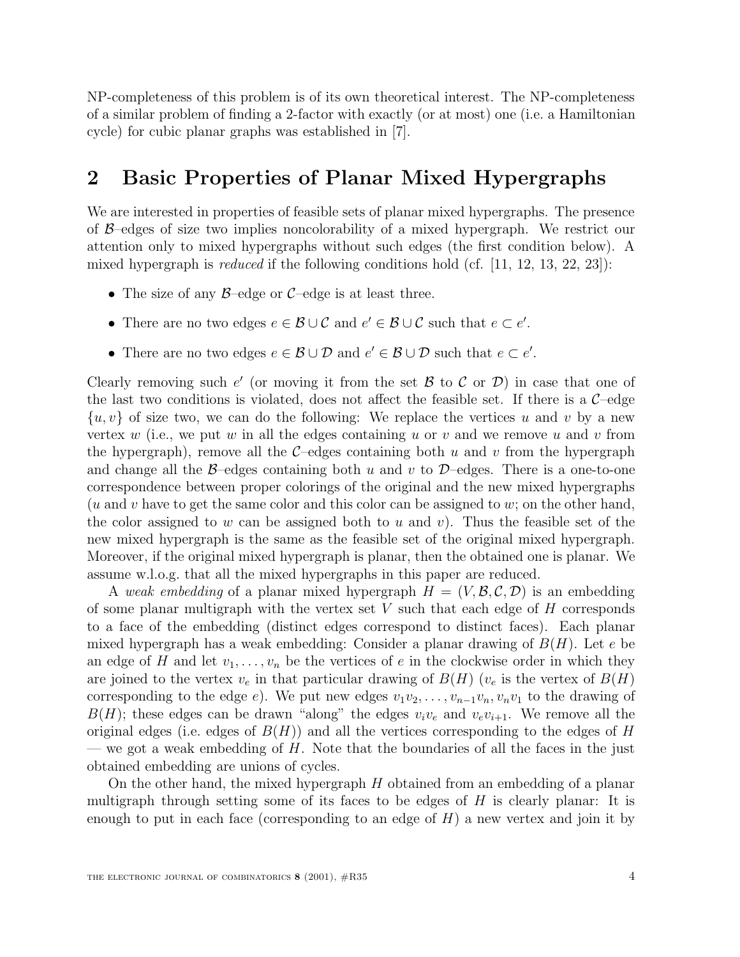NP-completeness of this problem is of its own theoretical interest. The NP-completeness of a similar problem of finding a 2-factor with exactly (or at most) one (i.e. a Hamiltonian cycle) for cubic planar graphs was established in [7].

### **2 Basic Properties of Planar Mixed Hypergraphs**

We are interested in properties of feasible sets of planar mixed hypergraphs. The presence of B–edges of size two implies noncolorability of a mixed hypergraph. We restrict our attention only to mixed hypergraphs without such edges (the first condition below). A mixed hypergraph is *reduced* if the following conditions hold (cf.  $[11, 12, 13, 22, 23]$ ):

- The size of any  $\beta$ –edge or  $\mathcal{C}$ –edge is at least three.
- There are no two edges  $e \in \mathcal{B} \cup \mathcal{C}$  and  $e' \in \mathcal{B} \cup \mathcal{C}$  such that  $e \subset e'$ .
- There are no two edges  $e \in \mathcal{B} \cup \mathcal{D}$  and  $e' \in \mathcal{B} \cup \mathcal{D}$  such that  $e \subset e'$ .

Clearly removing such e' (or moving it from the set B to C or D) in case that one of the last two conditions is violated, does not affect the feasible set. If there is a  $\mathcal{C}-$ edge  $\{u, v\}$  of size two, we can do the following: We replace the vertices u and v by a new vertex w (i.e., we put w in all the edges containing u or v and we remove u and v from the hypergraph), remove all the  $C$ -edges containing both u and v from the hypergraph and change all the  $\beta$ –edges containing both u and v to  $\mathcal{D}$ –edges. There is a one-to-one correspondence between proper colorings of the original and the new mixed hypergraphs  $(u \text{ and } v \text{ have to get the same color and this color can be assigned to } w; \text{ on the other hand,}$ the color assigned to w can be assigned both to u and v). Thus the feasible set of the new mixed hypergraph is the same as the feasible set of the original mixed hypergraph. Moreover, if the original mixed hypergraph is planar, then the obtained one is planar. We assume w.l.o.g. that all the mixed hypergraphs in this paper are reduced.

A weak embedding of a planar mixed hypergraph  $H = (V, \mathcal{B}, \mathcal{C}, \mathcal{D})$  is an embedding of some planar multigraph with the vertex set  $V$  such that each edge of  $H$  corresponds to a face of the embedding (distinct edges correspond to distinct faces). Each planar mixed hypergraph has a weak embedding: Consider a planar drawing of  $B(H)$ . Let e be an edge of H and let  $v_1, \ldots, v_n$  be the vertices of e in the clockwise order in which they are joined to the vertex  $v_e$  in that particular drawing of  $B(H)$  ( $v_e$  is the vertex of  $B(H)$ ) corresponding to the edge e). We put new edges  $v_1v_2,\ldots,v_{n-1}v_n,v_nv_1$  to the drawing of  $B(H)$ ; these edges can be drawn "along" the edges  $v_i v_e$  and  $v_e v_{i+1}$ . We remove all the original edges (i.e. edges of  $B(H)$ ) and all the vertices corresponding to the edges of H — we got a weak embedding of  $H$ . Note that the boundaries of all the faces in the just obtained embedding are unions of cycles.

On the other hand, the mixed hypergraph  $H$  obtained from an embedding of a planar multigraph through setting some of its faces to be edges of  $H$  is clearly planar: It is enough to put in each face (corresponding to an edge of  $H$ ) a new vertex and join it by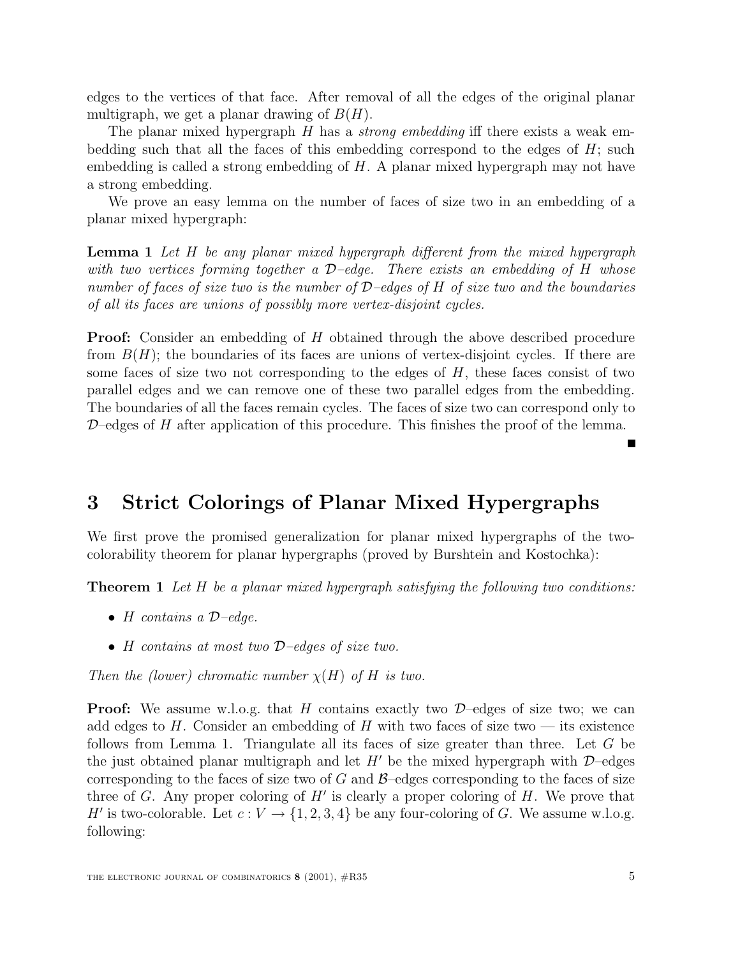edges to the vertices of that face. After removal of all the edges of the original planar multigraph, we get a planar drawing of  $B(H)$ .

The planar mixed hypergraph  $H$  has a *strong embedding* iff there exists a weak embedding such that all the faces of this embedding correspond to the edges of  $H$ ; such embedding is called a strong embedding of H. A planar mixed hypergraph may not have a strong embedding.

We prove an easy lemma on the number of faces of size two in an embedding of a planar mixed hypergraph:

**Lemma 1** Let H be any planar mixed hypergraph different from the mixed hypergraph with two vertices forming together a  $\mathcal{D}-$ -edge. There exists an embedding of H whose number of faces of size two is the number of  $D$ –edges of H of size two and the boundaries of all its faces are unions of possibly more vertex-disjoint cycles.

**Proof:** Consider an embedding of H obtained through the above described procedure from  $B(H)$ ; the boundaries of its faces are unions of vertex-disjoint cycles. If there are some faces of size two not corresponding to the edges of  $H$ , these faces consist of two parallel edges and we can remove one of these two parallel edges from the embedding. The boundaries of all the faces remain cycles. The faces of size two can correspond only to  $\mathcal{D}-$  edges of H after application of this procedure. This finishes the proof of the lemma.

## **3 Strict Colorings of Planar Mixed Hypergraphs**

We first prove the promised generalization for planar mixed hypergraphs of the twocolorability theorem for planar hypergraphs (proved by Burshtein and Kostochka):

**Theorem 1** Let H be a planar mixed hypergraph satisfying the following two conditions:

- H contains a  $\mathcal{D}-edge$ .
- H contains at most two D-edges of size two.

Then the (lower) chromatic number  $\chi(H)$  of H is two.

**Proof:** We assume w.l.o.g. that H contains exactly two  $\mathcal{D}$ -edges of size two; we can add edges to H. Consider an embedding of H with two faces of size two  $-$  its existence follows from Lemma 1. Triangulate all its faces of size greater than three. Let  $G$  be the just obtained planar multigraph and let  $H'$  be the mixed hypergraph with  $\mathcal{D}-$ edges corresponding to the faces of size two of  $G$  and  $\beta$ –edges corresponding to the faces of size three of G. Any proper coloring of  $H'$  is clearly a proper coloring of  $H$ . We prove that H' is two-colorable. Let  $c : V \to \{1, 2, 3, 4\}$  be any four-coloring of G. We assume w.l.o.g. following: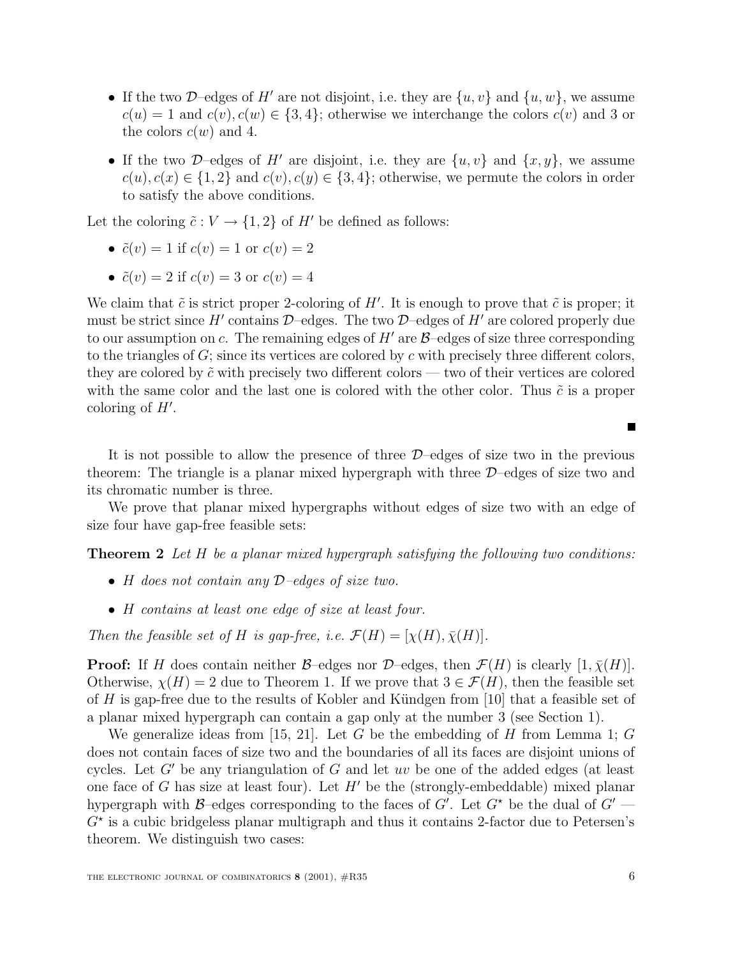- If the two D–edges of H' are not disjoint, i.e. they are  $\{u, v\}$  and  $\{u, w\}$ , we assume  $c(u) = 1$  and  $c(v)$ ,  $c(w) \in \{3, 4\}$ ; otherwise we interchange the colors  $c(v)$  and 3 or the colors  $c(w)$  and 4.
- If the two D–edges of H' are disjoint, i.e. they are  $\{u, v\}$  and  $\{x, y\}$ , we assume  $c(u), c(x) \in \{1,2\}$  and  $c(v), c(y) \in \{3,4\}$ ; otherwise, we permute the colors in order to satisfy the above conditions.

Let the coloring  $\tilde{c}: V \to \{1,2\}$  of H' be defined as follows:

• 
$$
\tilde{c}(v) = 1
$$
 if  $c(v) = 1$  or  $c(v) = 2$ 

•  $\tilde{c}(v) = 2$  if  $c(v) = 3$  or  $c(v) = 4$ 

We claim that  $\tilde{c}$  is strict proper 2-coloring of H'. It is enough to prove that  $\tilde{c}$  is proper; it must be strict since H' contains D–edges. The two D–edges of H' are colored properly due to our assumption on c. The remaining edges of  $H'$  are  $\beta$ –edges of size three corresponding to the triangles of  $G$ ; since its vertices are colored by c with precisely three different colors, they are colored by  $\tilde{c}$  with precisely two different colors — two of their vertices are colored with the same color and the last one is colored with the other color. Thus  $\tilde{c}$  is a proper coloring of  $H'$ .

It is not possible to allow the presence of three  $\mathcal{D}-$  edges of size two in the previous theorem: The triangle is a planar mixed hypergraph with three  $\mathcal{D}-$  edges of size two and its chromatic number is three.

We prove that planar mixed hypergraphs without edges of size two with an edge of size four have gap-free feasible sets:

**Theorem 2** Let H be a planar mixed hypergraph satisfying the following two conditions:

- H does not contain any  $\mathcal{D}-$  edges of size two.
- H contains at least one edge of size at least four.

Then the feasible set of H is gap-free, i.e.  $\mathcal{F}(H)=[\chi(H), \overline{\chi}(H)].$ 

**Proof:** If H does contain neither  $\mathcal{B}$ –edges nor  $\mathcal{D}$ –edges, then  $\mathcal{F}(H)$  is clearly  $[1, \overline{\chi}(H)]$ . Otherwise,  $\chi(H) = 2$  due to Theorem 1. If we prove that  $3 \in \mathcal{F}(H)$ , then the feasible set of H is gap-free due to the results of Kobler and Kündgen from [10] that a feasible set of a planar mixed hypergraph can contain a gap only at the number 3 (see Section 1).

We generalize ideas from [15, 21]. Let G be the embedding of H from Lemma 1; G does not contain faces of size two and the boundaries of all its faces are disjoint unions of cycles. Let  $G'$  be any triangulation of G and let uv be one of the added edges (at least one face of G has size at least four). Let  $H'$  be the (strongly-embeddable) mixed planar hypergraph with B-edges corresponding to the faces of G'. Let  $G^*$  be the dual of  $G'$  —  $G^*$  is a cubic bridgeless planar multigraph and thus it contains 2-factor due to Petersen's theorem. We distinguish two cases:

Е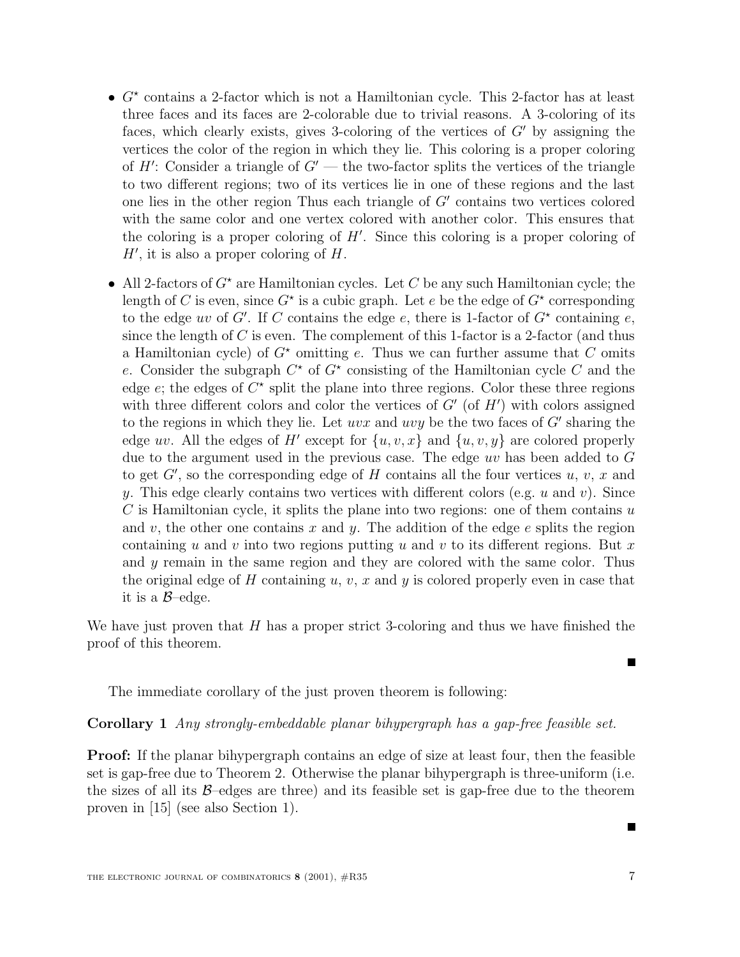- $G^*$  contains a 2-factor which is not a Hamiltonian cycle. This 2-factor has at least three faces and its faces are 2-colorable due to trivial reasons. A 3-coloring of its faces, which clearly exists, gives 3-coloring of the vertices of  $G'$  by assigning the vertices the color of the region in which they lie. This coloring is a proper coloring of  $H'$ : Consider a triangle of  $G'$  — the two-factor splits the vertices of the triangle to two different regions; two of its vertices lie in one of these regions and the last one lies in the other region Thus each triangle of  $G'$  contains two vertices colored with the same color and one vertex colored with another color. This ensures that the coloring is a proper coloring of  $H'$ . Since this coloring is a proper coloring of  $H'$ , it is also a proper coloring of  $H$ .
- All 2-factors of  $G^*$  are Hamiltonian cycles. Let C be any such Hamiltonian cycle; the length of C is even, since  $G^*$  is a cubic graph. Let e be the edge of  $G^*$  corresponding to the edge uv of G'. If C contains the edge e, there is 1-factor of  $G^*$  containing e, since the length of  $C$  is even. The complement of this 1-factor is a 2-factor (and thus a Hamiltonian cycle) of  $G^*$  omitting e. Thus we can further assume that C omits e. Consider the subgraph  $C^*$  of  $G^*$  consisting of the Hamiltonian cycle C and the edge e; the edges of  $C^*$  split the plane into three regions. Color these three regions with three different colors and color the vertices of  $G'$  (of  $H'$ ) with colors assigned to the regions in which they lie. Let  $uvx$  and  $uvy$  be the two faces of G' sharing the edge uv. All the edges of H' except for  ${u, v, x}$  and  ${u, v, y}$  are colored properly due to the argument used in the previous case. The edge uv has been added to G to get  $G'$ , so the corresponding edge of H contains all the four vertices  $u, v, x$  and y. This edge clearly contains two vertices with different colors (e.g.  $u$  and  $v$ ). Since  $C$  is Hamiltonian cycle, it splits the plane into two regions: one of them contains  $u$ and v, the other one contains x and y. The addition of the edge  $e$  splits the region containing u and v into two regions putting u and v to its different regions. But x and y remain in the same region and they are colored with the same color. Thus the original edge of H containing  $u, v, x$  and y is colored properly even in case that it is a  $\beta$ -edge.

We have just proven that  $H$  has a proper strict 3-coloring and thus we have finished the proof of this theorem.

The immediate corollary of the just proven theorem is following:

#### **Corollary 1** Any strongly-embeddable planar bihypergraph has a gap-free feasible set.

**Proof:** If the planar bihypergraph contains an edge of size at least four, then the feasible set is gap-free due to Theorem 2. Otherwise the planar bihypergraph is three-uniform (i.e. the sizes of all its  $\beta$ –edges are three) and its feasible set is gap-free due to the theorem proven in [15] (see also Section 1).

П

П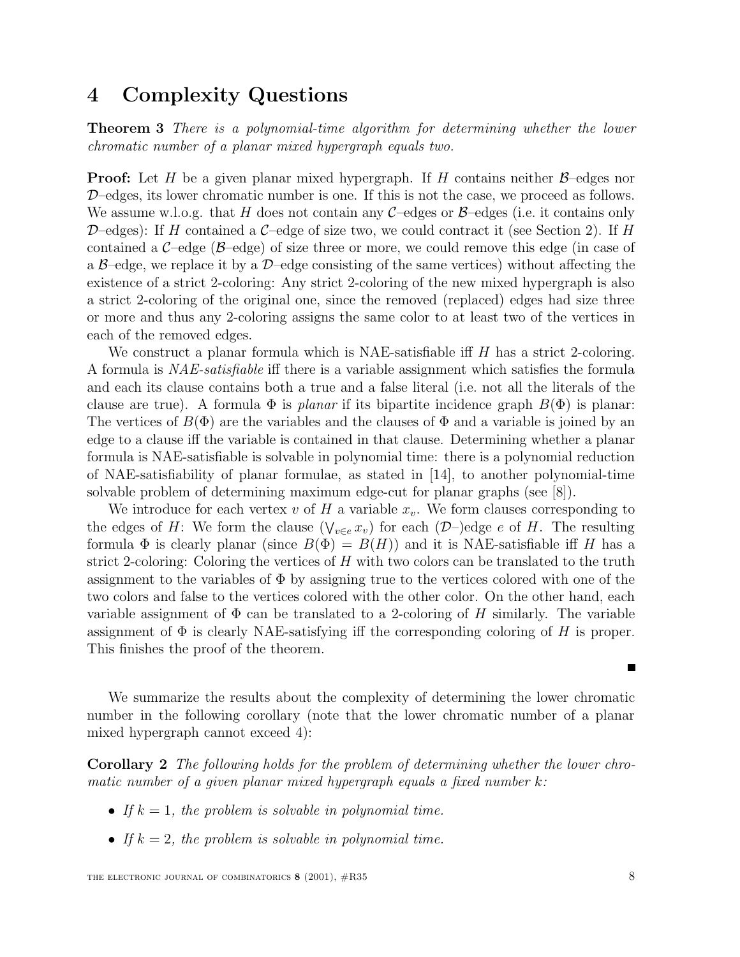### **4 Complexity Questions**

**Theorem 3** There is a polynomial-time algorithm for determining whether the lower chromatic number of a planar mixed hypergraph equals two.

**Proof:** Let H be a given planar mixed hypergraph. If H contains neither  $\beta$ -edges nor D–edges, its lower chromatic number is one. If this is not the case, we proceed as follows. We assume w.l.o.g. that H does not contain any  $C$ –edges or  $\beta$ –edges (i.e. it contains only D–edges): If H contained a C–edge of size two, we could contract it (see Section 2). If H contained a  $C$ –edge ( $\beta$ –edge) of size three or more, we could remove this edge (in case of a  $\beta$ –edge, we replace it by a  $\mathcal{D}$ –edge consisting of the same vertices) without affecting the existence of a strict 2-coloring: Any strict 2-coloring of the new mixed hypergraph is also a strict 2-coloring of the original one, since the removed (replaced) edges had size three or more and thus any 2-coloring assigns the same color to at least two of the vertices in each of the removed edges.

We construct a planar formula which is NAE-satisfiable iff  $H$  has a strict 2-coloring. A formula is NAE-satisfiable iff there is a variable assignment which satisfies the formula and each its clause contains both a true and a false literal (i.e. not all the literals of the clause are true). A formula  $\Phi$  is planar if its bipartite incidence graph  $B(\Phi)$  is planar: The vertices of  $B(\Phi)$  are the variables and the clauses of  $\Phi$  and a variable is joined by an edge to a clause iff the variable is contained in that clause. Determining whether a planar formula is NAE-satisfiable is solvable in polynomial time: there is a polynomial reduction of NAE-satisfiability of planar formulae, as stated in [14], to another polynomial-time solvable problem of determining maximum edge-cut for planar graphs (see [8]).

We introduce for each vertex  $v$  of  $H$  a variable  $x_v$ . We form clauses corresponding to the edges of H: We form the clause  $(\bigvee_{v\in e} x_v)$  for each  $(\mathcal{D})$ -)edge e of H. The resulting formula  $\Phi$  is clearly planar (since  $B(\Phi) = B(H)$ ) and it is NAE-satisfiable iff H has a strict 2-coloring: Coloring the vertices of  $H$  with two colors can be translated to the truth assignment to the variables of  $\Phi$  by assigning true to the vertices colored with one of the two colors and false to the vertices colored with the other color. On the other hand, each variable assignment of  $\Phi$  can be translated to a 2-coloring of H similarly. The variable assignment of  $\Phi$  is clearly NAE-satisfying iff the corresponding coloring of H is proper. This finishes the proof of the theorem.

We summarize the results about the complexity of determining the lower chromatic number in the following corollary (note that the lower chromatic number of a planar mixed hypergraph cannot exceed 4):

**Corollary 2** The following holds for the problem of determining whether the lower chromatic number of a given planar mixed hypergraph equals a fixed number  $k$ :

- If  $k = 1$ , the problem is solvable in polynomial time.
- If  $k = 2$ , the problem is solvable in polynomial time.

Г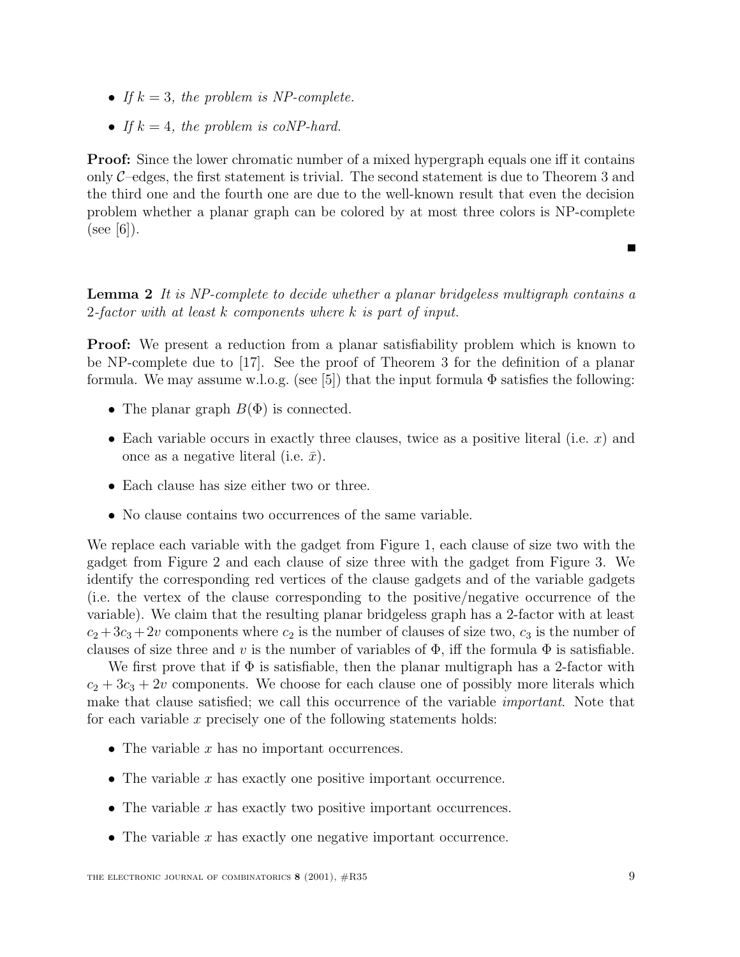- If  $k = 3$ , the problem is NP-complete.
- If  $k = 4$ , the problem is coNP-hard.

**Proof:** Since the lower chromatic number of a mixed hypergraph equals one iff it contains only  $\mathcal{C}$ -edges, the first statement is trivial. The second statement is due to Theorem 3 and the third one and the fourth one are due to the well-known result that even the decision problem whether a planar graph can be colored by at most three colors is NP-complete  $(see |6|).$ 

**Lemma 2** It is NP-complete to decide whether a planar bridgeless multigraph contains a 2-factor with at least k components where k is part of input.

**Proof:** We present a reduction from a planar satisfiability problem which is known to be NP-complete due to [17]. See the proof of Theorem 3 for the definition of a planar formula. We may assume w.l.o.g. (see [5]) that the input formula  $\Phi$  satisfies the following:

- The planar graph  $B(\Phi)$  is connected.
- Each variable occurs in exactly three clauses, twice as a positive literal (i.e.  $x$ ) and once as a negative literal (i.e.  $\bar{x}$ ).
- Each clause has size either two or three.
- No clause contains two occurrences of the same variable.

We replace each variable with the gadget from Figure 1, each clause of size two with the gadget from Figure 2 and each clause of size three with the gadget from Figure 3. We identify the corresponding red vertices of the clause gadgets and of the variable gadgets (i.e. the vertex of the clause corresponding to the positive/negative occurrence of the variable). We claim that the resulting planar bridgeless graph has a 2-factor with at least  $c_2 + 3c_3 + 2v$  components where  $c_2$  is the number of clauses of size two,  $c_3$  is the number of clauses of size three and v is the number of variables of  $\Phi$ , iff the formula  $\Phi$  is satisfiable.

We first prove that if  $\Phi$  is satisfiable, then the planar multigraph has a 2-factor with  $c_2 + 3c_3 + 2v$  components. We choose for each clause one of possibly more literals which make that clause satisfied; we call this occurrence of the variable *important*. Note that for each variable x precisely one of the following statements holds:

- The variable  $x$  has no important occurrences.
- The variable  $x$  has exactly one positive important occurrence.
- The variable  $x$  has exactly two positive important occurrences.
- The variable  $x$  has exactly one negative important occurrence.

Е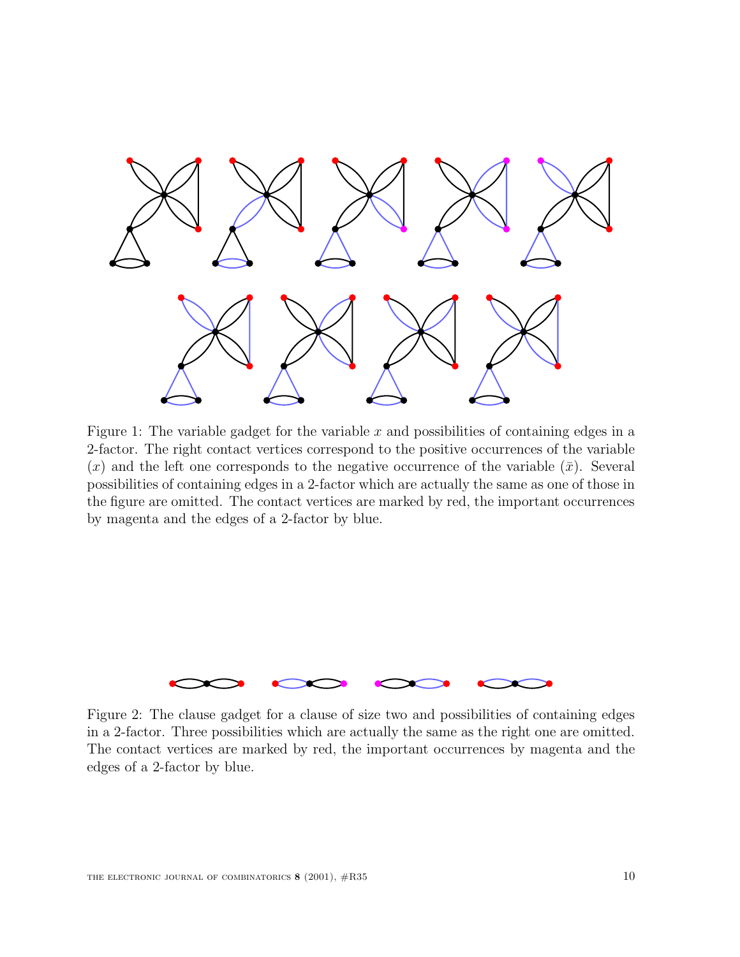

Figure 1: The variable gadget for the variable  $x$  and possibilities of containing edges in a 2-factor. The right contact vertices correspond to the positive occurrences of the variable  $(x)$  and the left one corresponds to the negative occurrence of the variable  $(\bar{x})$ . Several possibilities of containing edges in a 2-factor which are actually the same as one of those in the figure are omitted. The contact vertices are marked by red, the important occurrences by magenta and the edges of a 2-factor by blue.



Figure 2: The clause gadget for a clause of size two and possibilities of containing edges in a 2-factor. Three possibilities which are actually the same as the right one are omitted. The contact vertices are marked by red, the important occurrences by magenta and the edges of a 2-factor by blue.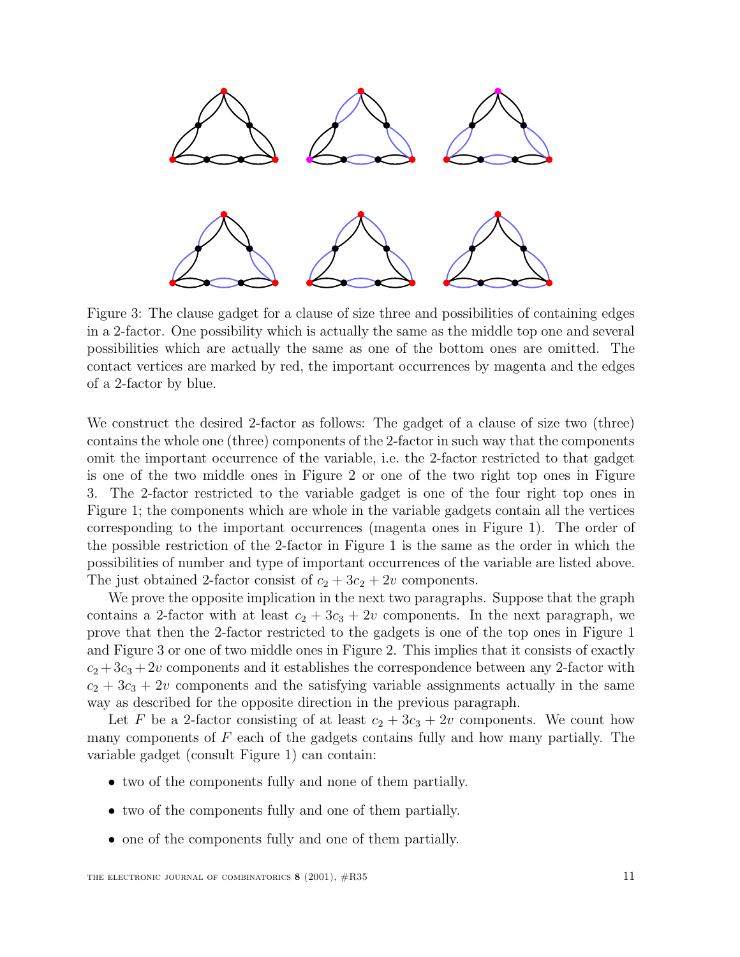

Figure 3: The clause gadget for a clause of size three and possibilities of containing edges in a 2-factor. One possibility which is actually the same as the middle top one and several possibilities which are actually the same as one of the bottom ones are omitted. The contact vertices are marked by red, the important occurrences by magenta and the edges of a 2-factor by blue.

We construct the desired 2-factor as follows: The gadget of a clause of size two (three) contains the whole one (three) components of the 2-factor in such way that the components omit the important occurrence of the variable, i.e. the 2-factor restricted to that gadget is one of the two middle ones in Figure 2 or one of the two right top ones in Figure 3. The 2-factor restricted to the variable gadget is one of the four right top ones in Figure 1; the components which are whole in the variable gadgets contain all the vertices corresponding to the important occurrences (magenta ones in Figure 1). The order of the possible restriction of the 2-factor in Figure 1 is the same as the order in which the possibilities of number and type of important occurrences of the variable are listed above. The just obtained 2-factor consist of  $c_2 + 3c_2 + 2v$  components.

We prove the opposite implication in the next two paragraphs. Suppose that the graph contains a 2-factor with at least  $c_2 + 3c_3 + 2v$  components. In the next paragraph, we prove that then the 2-factor restricted to the gadgets is one of the top ones in Figure 1 and Figure 3 or one of two middle ones in Figure 2. This implies that it consists of exactly  $c_2 + 3c_3 + 2v$  components and it establishes the correspondence between any 2-factor with  $c_2 + 3c_3 + 2v$  components and the satisfying variable assignments actually in the same way as described for the opposite direction in the previous paragraph.

Let F be a 2-factor consisting of at least  $c_2 + 3c_3 + 2v$  components. We count how many components of  $F$  each of the gadgets contains fully and how many partially. The variable gadget (consult Figure 1) can contain:

- two of the components fully and none of them partially.
- two of the components fully and one of them partially.
- one of the components fully and one of them partially.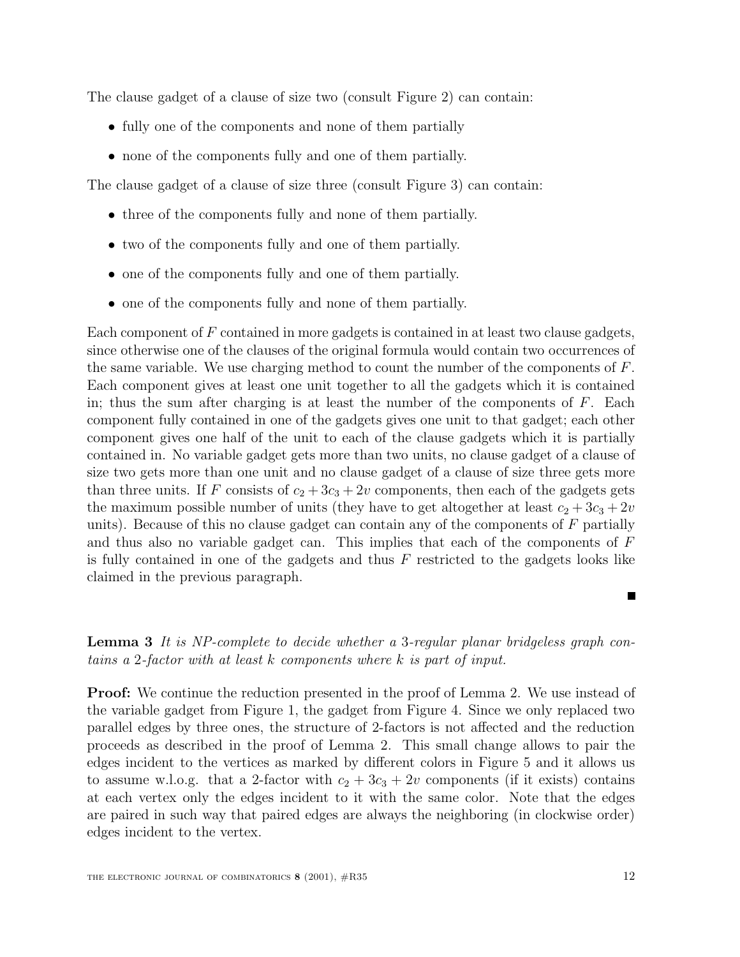The clause gadget of a clause of size two (consult Figure 2) can contain:

- fully one of the components and none of them partially
- none of the components fully and one of them partially.

The clause gadget of a clause of size three (consult Figure 3) can contain:

- three of the components fully and none of them partially.
- two of the components fully and one of them partially.
- one of the components fully and one of them partially.
- one of the components fully and none of them partially.

Each component of F contained in more gadgets is contained in at least two clause gadgets, since otherwise one of the clauses of the original formula would contain two occurrences of the same variable. We use charging method to count the number of the components of  $F$ . Each component gives at least one unit together to all the gadgets which it is contained in; thus the sum after charging is at least the number of the components of  $F$ . Each component fully contained in one of the gadgets gives one unit to that gadget; each other component gives one half of the unit to each of the clause gadgets which it is partially contained in. No variable gadget gets more than two units, no clause gadget of a clause of size two gets more than one unit and no clause gadget of a clause of size three gets more than three units. If F consists of  $c_2 + 3c_3 + 2v$  components, then each of the gadgets gets the maximum possible number of units (they have to get altogether at least  $c_2 + 3c_3 + 2v$ units). Because of this no clause gadget can contain any of the components of  $F$  partially and thus also no variable gadget can. This implies that each of the components of F is fully contained in one of the gadgets and thus  $F$  restricted to the gadgets looks like claimed in the previous paragraph.

**Lemma 3** It is NP-complete to decide whether a 3-regular planar bridgeless graph contains a 2-factor with at least k components where k is part of input.

**Proof:** We continue the reduction presented in the proof of Lemma 2. We use instead of the variable gadget from Figure 1, the gadget from Figure 4. Since we only replaced two parallel edges by three ones, the structure of 2-factors is not affected and the reduction proceeds as described in the proof of Lemma 2. This small change allows to pair the edges incident to the vertices as marked by different colors in Figure 5 and it allows us to assume w.l.o.g. that a 2-factor with  $c_2 + 3c_3 + 2v$  components (if it exists) contains at each vertex only the edges incident to it with the same color. Note that the edges are paired in such way that paired edges are always the neighboring (in clockwise order) edges incident to the vertex.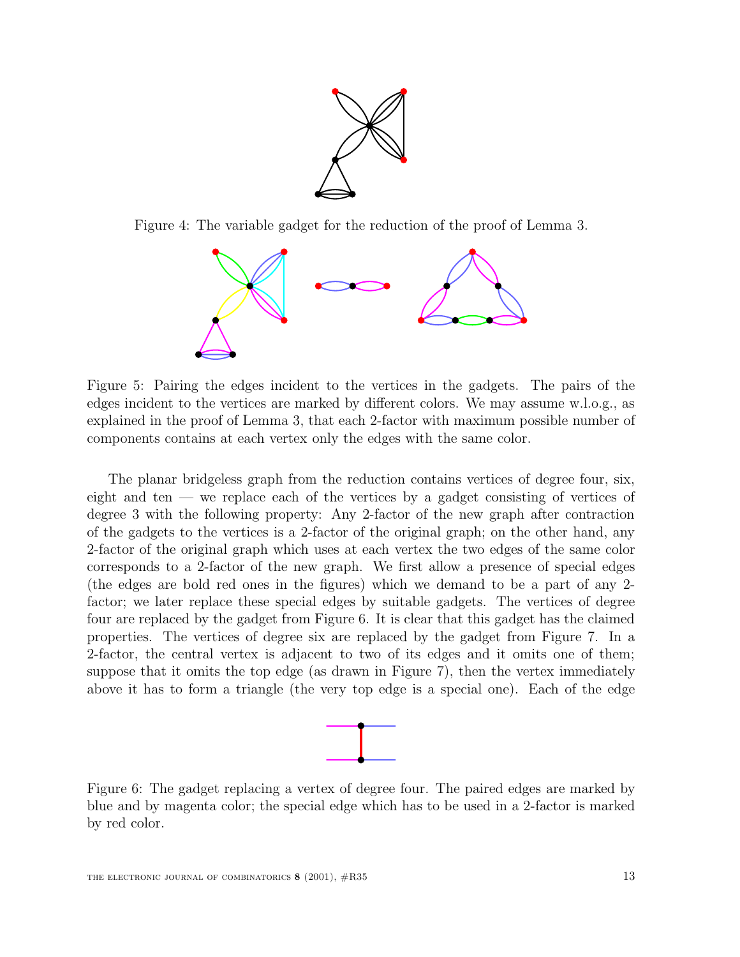

Figure 4: The variable gadget for the reduction of the proof of Lemma 3.



Figure 5: Pairing the edges incident to the vertices in the gadgets. The pairs of the edges incident to the vertices are marked by different colors. We may assume w.l.o.g., as explained in the proof of Lemma 3, that each 2-factor with maximum possible number of components contains at each vertex only the edges with the same color.

The planar bridgeless graph from the reduction contains vertices of degree four, six, eight and ten — we replace each of the vertices by a gadget consisting of vertices of degree 3 with the following property: Any 2-factor of the new graph after contraction of the gadgets to the vertices is a 2-factor of the original graph; on the other hand, any 2-factor of the original graph which uses at each vertex the two edges of the same color corresponds to a 2-factor of the new graph. We first allow a presence of special edges (the edges are bold red ones in the figures) which we demand to be a part of any 2 factor; we later replace these special edges by suitable gadgets. The vertices of degree four are replaced by the gadget from Figure 6. It is clear that this gadget has the claimed properties. The vertices of degree six are replaced by the gadget from Figure 7. In a 2-factor, the central vertex is adjacent to two of its edges and it omits one of them; suppose that it omits the top edge (as drawn in Figure 7), then the vertex immediately above it has to form a triangle (the very top edge is a special one). Each of the edge



Figure 6: The gadget replacing a vertex of degree four. The paired edges are marked by blue and by magenta color; the special edge which has to be used in a 2-factor is marked by red color.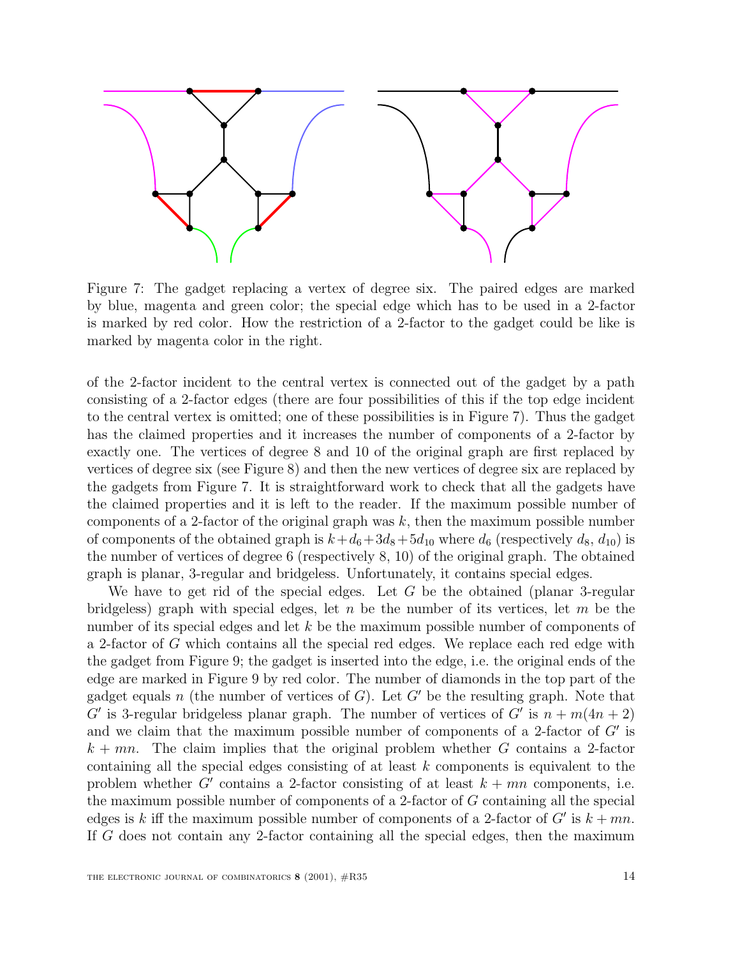

Figure 7: The gadget replacing a vertex of degree six. The paired edges are marked by blue, magenta and green color; the special edge which has to be used in a 2-factor is marked by red color. How the restriction of a 2-factor to the gadget could be like is marked by magenta color in the right.

of the 2-factor incident to the central vertex is connected out of the gadget by a path consisting of a 2-factor edges (there are four possibilities of this if the top edge incident to the central vertex is omitted; one of these possibilities is in Figure 7). Thus the gadget has the claimed properties and it increases the number of components of a 2-factor by exactly one. The vertices of degree 8 and 10 of the original graph are first replaced by vertices of degree six (see Figure 8) and then the new vertices of degree six are replaced by the gadgets from Figure 7. It is straightforward work to check that all the gadgets have the claimed properties and it is left to the reader. If the maximum possible number of components of a 2-factor of the original graph was  $k$ , then the maximum possible number of components of the obtained graph is  $k+d_6+3d_8+5d_{10}$  where  $d_6$  (respectively  $d_8$ ,  $d_{10}$ ) is the number of vertices of degree 6 (respectively 8, 10) of the original graph. The obtained graph is planar, 3-regular and bridgeless. Unfortunately, it contains special edges.

We have to get rid of the special edges. Let  $G$  be the obtained (planar 3-regular bridgeless) graph with special edges, let n be the number of its vertices, let m be the number of its special edges and let k be the maximum possible number of components of a 2-factor of G which contains all the special red edges. We replace each red edge with the gadget from Figure 9; the gadget is inserted into the edge, i.e. the original ends of the edge are marked in Figure 9 by red color. The number of diamonds in the top part of the gadget equals n (the number of vertices of  $G$ ). Let  $G'$  be the resulting graph. Note that G' is 3-regular bridgeless planar graph. The number of vertices of G' is  $n + m(4n + 2)$ and we claim that the maximum possible number of components of a 2-factor of  $G'$  is  $k + mn$ . The claim implies that the original problem whether G contains a 2-factor containing all the special edges consisting of at least k components is equivalent to the problem whether G' contains a 2-factor consisting of at least  $k + mn$  components, i.e. the maximum possible number of components of a 2-factor of G containing all the special edges is k iff the maximum possible number of components of a 2-factor of  $G'$  is  $k + mn$ . If G does not contain any 2-factor containing all the special edges, then the maximum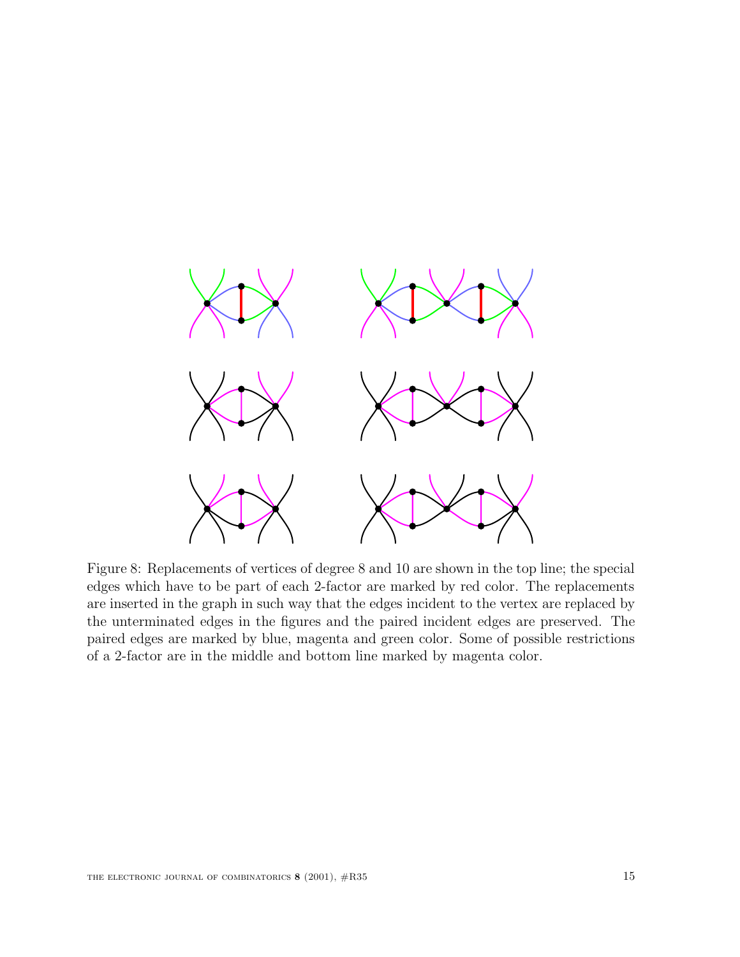

Figure 8: Replacements of vertices of degree 8 and 10 are shown in the top line; the special edges which have to be part of each 2-factor are marked by red color. The replacements are inserted in the graph in such way that the edges incident to the vertex are replaced by the unterminated edges in the figures and the paired incident edges are preserved. The paired edges are marked by blue, magenta and green color. Some of possible restrictions of a 2-factor are in the middle and bottom line marked by magenta color.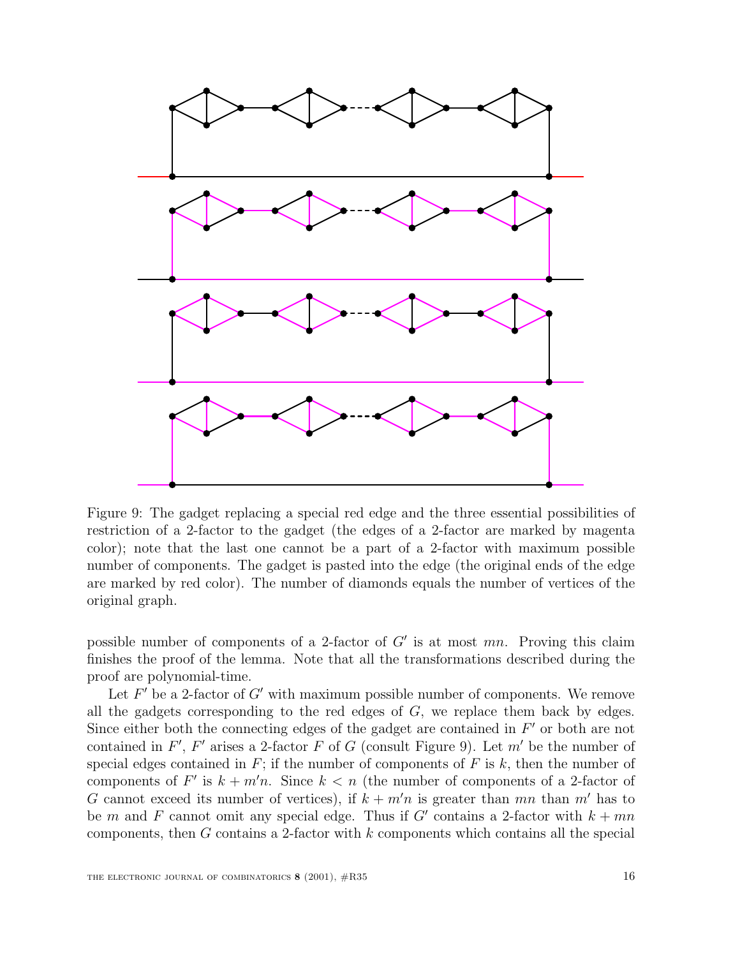

Figure 9: The gadget replacing a special red edge and the three essential possibilities of restriction of a 2-factor to the gadget (the edges of a 2-factor are marked by magenta color); note that the last one cannot be a part of a 2-factor with maximum possible number of components. The gadget is pasted into the edge (the original ends of the edge are marked by red color). The number of diamonds equals the number of vertices of the original graph.

possible number of components of a 2-factor of  $G'$  is at most mn. Proving this claim finishes the proof of the lemma. Note that all the transformations described during the proof are polynomial-time.

Let  $F'$  be a 2-factor of G' with maximum possible number of components. We remove all the gadgets corresponding to the red edges of  $G$ , we replace them back by edges. Since either both the connecting edges of the gadget are contained in  $F'$  or both are not contained in  $F'$ ,  $F'$  arises a 2-factor  $F$  of  $G$  (consult Figure 9). Let  $m'$  be the number of special edges contained in  $F$ ; if the number of components of  $F$  is  $k$ , then the number of components of F' is  $k + m'n$ . Since  $k < n$  (the number of components of a 2-factor of G cannot exceed its number of vertices), if  $k + m'n$  is greater than mn than m' has to be m and F cannot omit any special edge. Thus if G' contains a 2-factor with  $k + mn$ components, then  $G$  contains a 2-factor with  $k$  components which contains all the special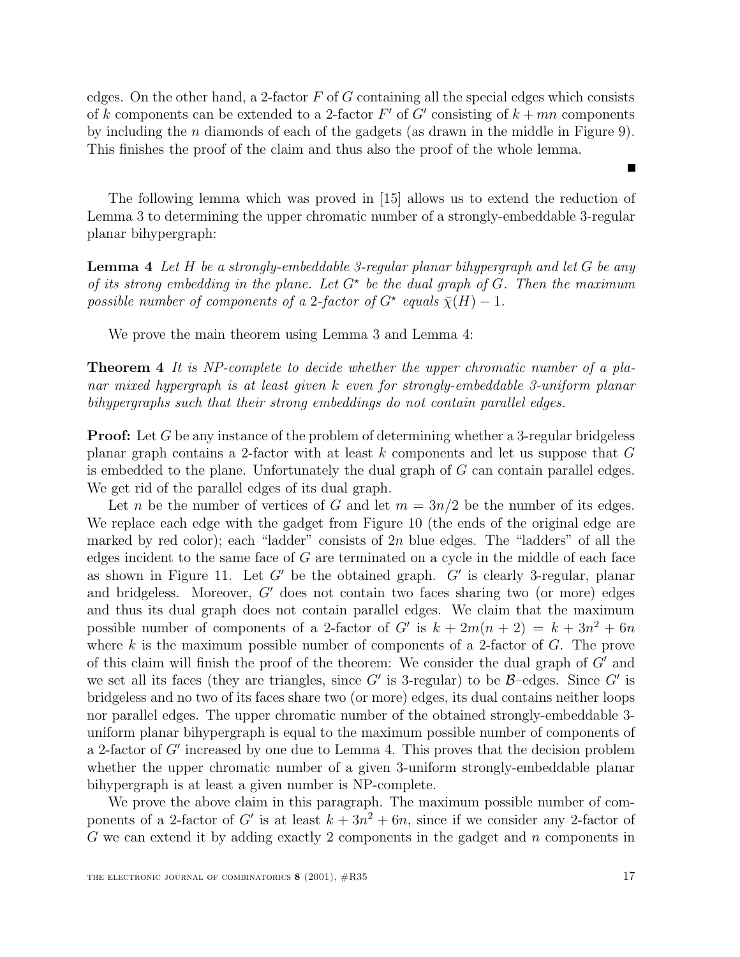edges. On the other hand, a 2-factor  $F$  of  $G$  containing all the special edges which consists of k components can be extended to a 2-factor  $F'$  of  $G'$  consisting of  $k + mn$  components by including the n diamonds of each of the gadgets (as drawn in the middle in Figure 9). This finishes the proof of the claim and thus also the proof of the whole lemma.

The following lemma which was proved in [15] allows us to extend the reduction of Lemma 3 to determining the upper chromatic number of a strongly-embeddable 3-regular planar bihypergraph:

**Lemma 4** Let H be a strongly-embeddable 3-regular planar bihypergraph and let G be any of its strong embedding in the plane. Let  $G^*$  be the dual graph of G. Then the maximum possible number of components of a 2-factor of  $G^*$  equals  $\bar{\chi}(H) - 1$ .

We prove the main theorem using Lemma 3 and Lemma 4:

**Theorem 4** It is NP-complete to decide whether the upper chromatic number of a planar mixed hypergraph is at least given k even for strongly-embeddable 3-uniform planar bihypergraphs such that their strong embeddings do not contain parallel edges.

**Proof:** Let G be any instance of the problem of determining whether a 3-regular bridgeless planar graph contains a 2-factor with at least  $k$  components and let us suppose that  $G$ is embedded to the plane. Unfortunately the dual graph of  $G$  can contain parallel edges. We get rid of the parallel edges of its dual graph.

Let n be the number of vertices of G and let  $m = 3n/2$  be the number of its edges. We replace each edge with the gadget from Figure 10 (the ends of the original edge are marked by red color); each "ladder" consists of  $2n$  blue edges. The "ladders" of all the edges incident to the same face of  $G$  are terminated on a cycle in the middle of each face as shown in Figure 11. Let  $G'$  be the obtained graph.  $G'$  is clearly 3-regular, planar and bridgeless. Moreover,  $G'$  does not contain two faces sharing two (or more) edges and thus its dual graph does not contain parallel edges. We claim that the maximum possible number of components of a 2-factor of G' is  $k + 2m(n + 2) = k + 3n^2 + 6n$ where k is the maximum possible number of components of a 2-factor of  $G$ . The prove of this claim will finish the proof of the theorem: We consider the dual graph of  $G'$  and we set all its faces (they are triangles, since G' is 3-regular) to be  $\beta$ -edges. Since G' is bridgeless and no two of its faces share two (or more) edges, its dual contains neither loops nor parallel edges. The upper chromatic number of the obtained strongly-embeddable 3 uniform planar bihypergraph is equal to the maximum possible number of components of a 2-factor of  $G'$  increased by one due to Lemma 4. This proves that the decision problem whether the upper chromatic number of a given 3-uniform strongly-embeddable planar bihypergraph is at least a given number is NP-complete.

We prove the above claim in this paragraph. The maximum possible number of components of a 2-factor of G' is at least  $k + 3n^2 + 6n$ , since if we consider any 2-factor of  $G$  we can extend it by adding exactly 2 components in the gadget and  $n$  components in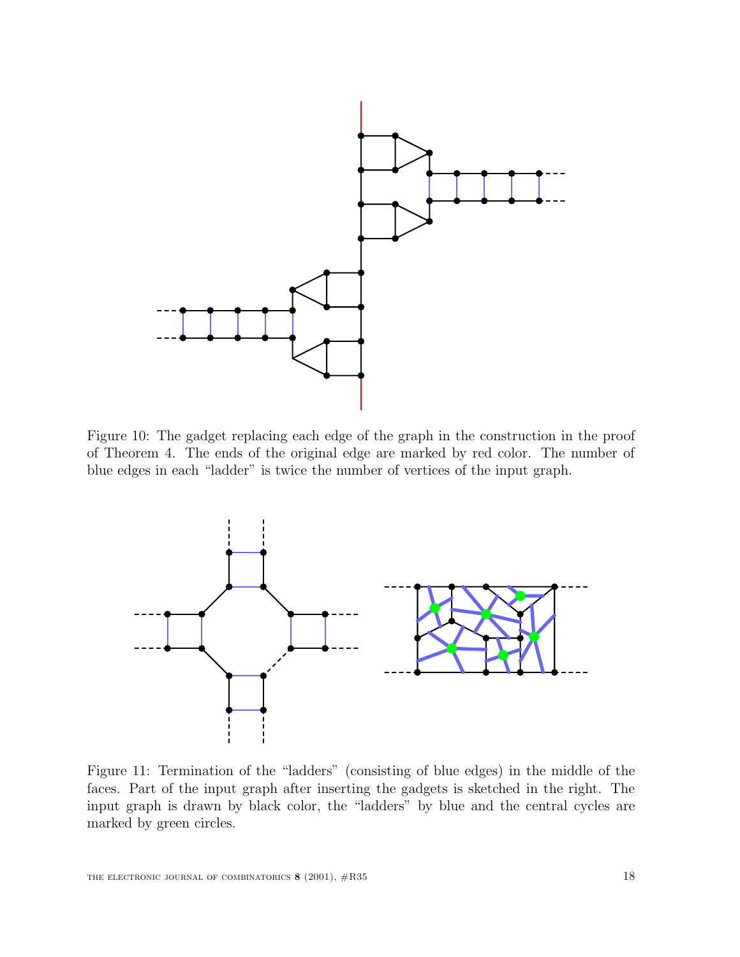

Figure 10: The gadget replacing each edge of the graph in the construction in the proof of Theorem 4. The ends of the original edge are marked by red color. The number of blue edges in each "ladder" is twice the number of vertices of the input graph.



Figure 11: Termination of the "ladders" (consisting of blue edges) in the middle of the faces. Part of the input graph after inserting the gadgets is sketched in the right. The input graph is drawn by black color, the "ladders" by blue and the central cycles are marked by green circles.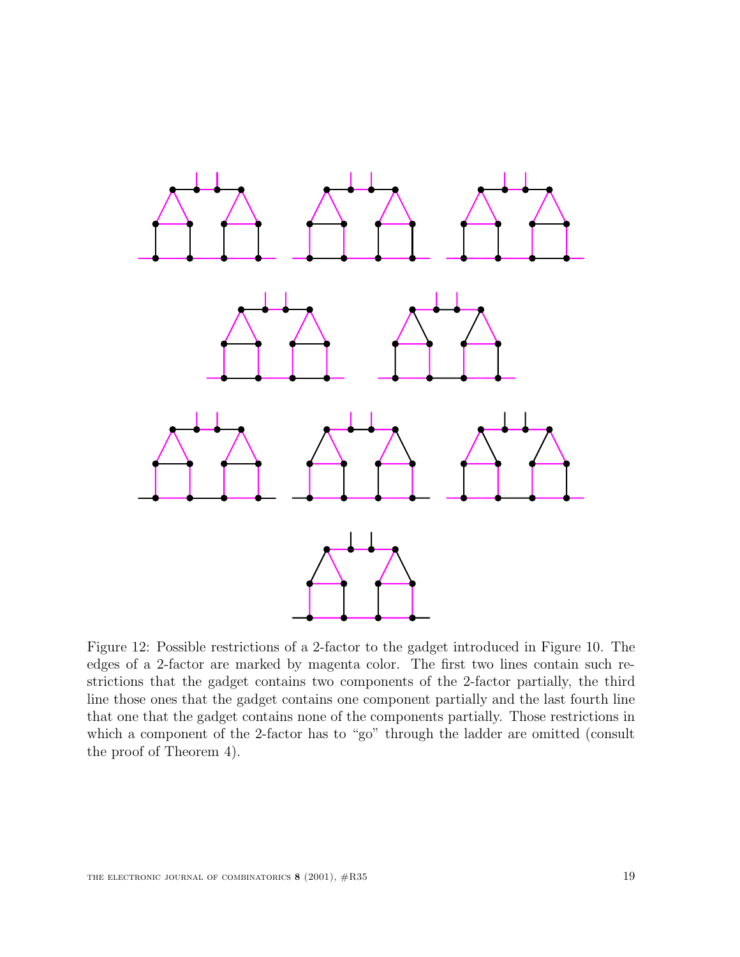

Figure 12: Possible restrictions of a 2-factor to the gadget introduced in Figure 10. The edges of a 2-factor are marked by magenta color. The first two lines contain such restrictions that the gadget contains two components of the 2-factor partially, the third line those ones that the gadget contains one component partially and the last fourth line that one that the gadget contains none of the components partially. Those restrictions in which a component of the 2-factor has to "go" through the ladder are omitted (consult the proof of Theorem 4).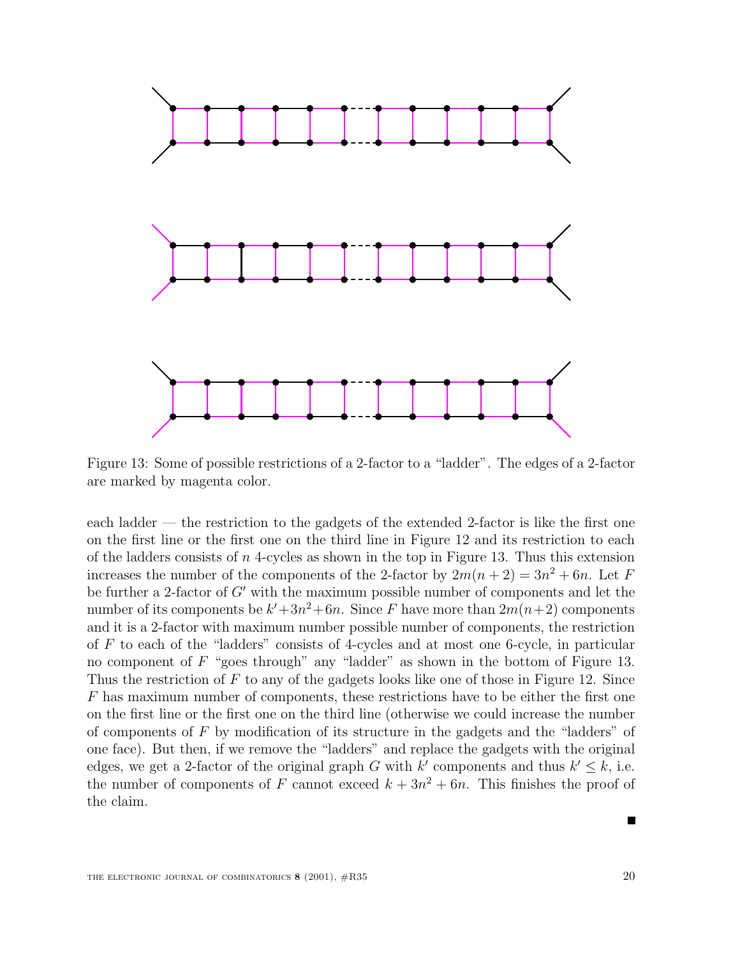

Figure 13: Some of possible restrictions of a 2-factor to a "ladder". The edges of a 2-factor are marked by magenta color.

each ladder — the restriction to the gadgets of the extended 2-factor is like the first one on the first line or the first one on the third line in Figure 12 and its restriction to each of the ladders consists of  $n$  4-cycles as shown in the top in Figure 13. Thus this extension increases the number of the components of the 2-factor by  $2m(n+2) = 3n^2 + 6n$ . Let F be further a 2-factor of  $G'$  with the maximum possible number of components and let the number of its components be  $k'+3n^2+6n$ . Since F have more than  $2m(n+2)$  components and it is a 2-factor with maximum number possible number of components, the restriction of  $F$  to each of the "ladders" consists of 4-cycles and at most one 6-cycle, in particular no component of  $F$  "goes through" any "ladder" as shown in the bottom of Figure 13. Thus the restriction of  $F$  to any of the gadgets looks like one of those in Figure 12. Since F has maximum number of components, these restrictions have to be either the first one on the first line or the first one on the third line (otherwise we could increase the number of components of  $F$  by modification of its structure in the gadgets and the "ladders" of one face). But then, if we remove the "ladders" and replace the gadgets with the original edges, we get a 2-factor of the original graph G with k' components and thus  $k' \leq k$ , i.e. the number of components of F cannot exceed  $k + 3n^2 + 6n$ . This finishes the proof of the claim.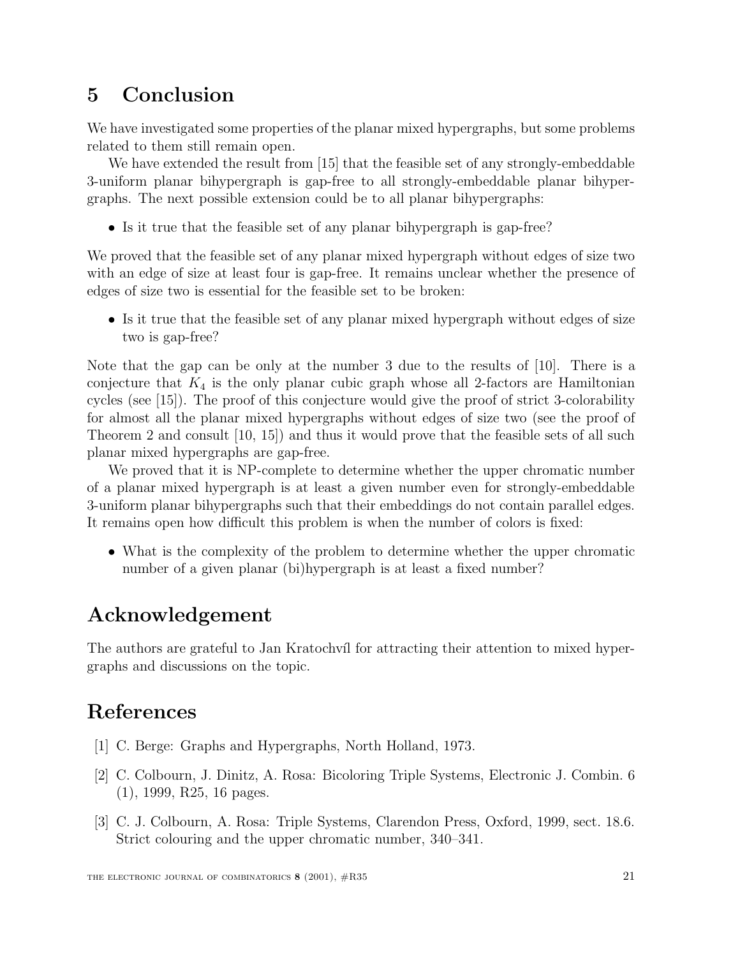# **5 Conclusion**

We have investigated some properties of the planar mixed hypergraphs, but some problems related to them still remain open.

We have extended the result from [15] that the feasible set of any strongly-embeddable 3-uniform planar bihypergraph is gap-free to all strongly-embeddable planar bihypergraphs. The next possible extension could be to all planar bihypergraphs:

• Is it true that the feasible set of any planar bihypergraph is gap-free?

We proved that the feasible set of any planar mixed hypergraph without edges of size two with an edge of size at least four is gap-free. It remains unclear whether the presence of edges of size two is essential for the feasible set to be broken:

• Is it true that the feasible set of any planar mixed hypergraph without edges of size two is gap-free?

Note that the gap can be only at the number 3 due to the results of [10]. There is a conjecture that  $K_4$  is the only planar cubic graph whose all 2-factors are Hamiltonian cycles (see [15]). The proof of this conjecture would give the proof of strict 3-colorability for almost all the planar mixed hypergraphs without edges of size two (see the proof of Theorem 2 and consult [10, 15]) and thus it would prove that the feasible sets of all such planar mixed hypergraphs are gap-free.

We proved that it is NP-complete to determine whether the upper chromatic number of a planar mixed hypergraph is at least a given number even for strongly-embeddable 3-uniform planar bihypergraphs such that their embeddings do not contain parallel edges. It remains open how difficult this problem is when the number of colors is fixed:

• What is the complexity of the problem to determine whether the upper chromatic number of a given planar (bi)hypergraph is at least a fixed number?

# **Acknowledgement**

The authors are grateful to Jan Kratochvíl for attracting their attention to mixed hypergraphs and discussions on the topic.

# **References**

- [1] C. Berge: Graphs and Hypergraphs, North Holland, 1973.
- [2] C. Colbourn, J. Dinitz, A. Rosa: Bicoloring Triple Systems, Electronic J. Combin. 6 (1), 1999, R25, 16 pages.
- [3] C. J. Colbourn, A. Rosa: Triple Systems, Clarendon Press, Oxford, 1999, sect. 18.6. Strict colouring and the upper chromatic number, 340–341.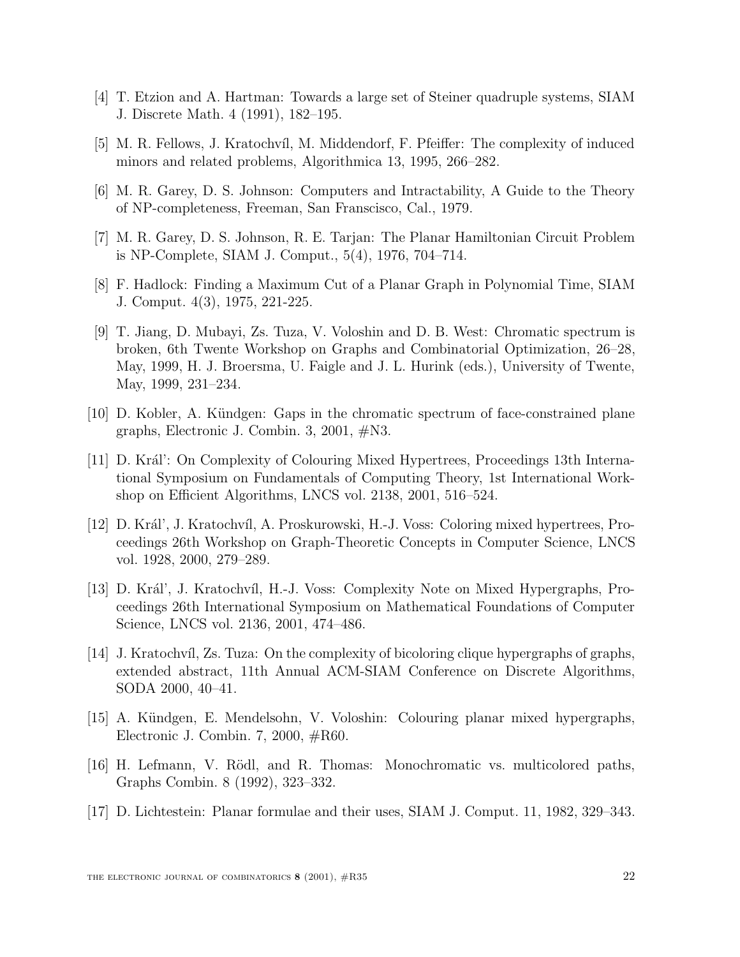- [4] T. Etzion and A. Hartman: Towards a large set of Steiner quadruple systems, SIAM J. Discrete Math. 4 (1991), 182–195.
- [5] M. R. Fellows, J. Kratochv´ıl, M. Middendorf, F. Pfeiffer: The complexity of induced minors and related problems, Algorithmica 13, 1995, 266–282.
- [6] M. R. Garey, D. S. Johnson: Computers and Intractability, A Guide to the Theory of NP-completeness, Freeman, San Franscisco, Cal., 1979.
- [7] M. R. Garey, D. S. Johnson, R. E. Tarjan: The Planar Hamiltonian Circuit Problem is NP-Complete, SIAM J. Comput., 5(4), 1976, 704–714.
- [8] F. Hadlock: Finding a Maximum Cut of a Planar Graph in Polynomial Time, SIAM J. Comput. 4(3), 1975, 221-225.
- [9] T. Jiang, D. Mubayi, Zs. Tuza, V. Voloshin and D. B. West: Chromatic spectrum is broken, 6th Twente Workshop on Graphs and Combinatorial Optimization, 26–28, May, 1999, H. J. Broersma, U. Faigle and J. L. Hurink (eds.), University of Twente, May, 1999, 231–234.
- [10] D. Kobler, A. Kündgen: Gaps in the chromatic spectrum of face-constrained plane graphs, Electronic J. Combin. 3, 2001, #N3.
- [11] D. Král': On Complexity of Colouring Mixed Hypertrees, Proceedings 13th International Symposium on Fundamentals of Computing Theory, 1st International Workshop on Efficient Algorithms, LNCS vol. 2138, 2001, 516–524.
- [12] D. Král', J. Kratochvíl, A. Proskurowski, H.-J. Voss: Coloring mixed hypertrees, Proceedings 26th Workshop on Graph-Theoretic Concepts in Computer Science, LNCS vol. 1928, 2000, 279–289.
- [13] D. Král', J. Kratochvíl, H.-J. Voss: Complexity Note on Mixed Hypergraphs, Proceedings 26th International Symposium on Mathematical Foundations of Computer Science, LNCS vol. 2136, 2001, 474–486.
- [14] J. Kratochv´ıl, Zs. Tuza: On the complexity of bicoloring clique hypergraphs of graphs, extended abstract, 11th Annual ACM-SIAM Conference on Discrete Algorithms, SODA 2000, 40–41.
- [15] A. K¨undgen, E. Mendelsohn, V. Voloshin: Colouring planar mixed hypergraphs, Electronic J. Combin. 7, 2000, #R60.
- [16] H. Lefmann, V. Rödl, and R. Thomas: Monochromatic vs. multicolored paths, Graphs Combin. 8 (1992), 323–332.
- [17] D. Lichtestein: Planar formulae and their uses, SIAM J. Comput. 11, 1982, 329–343.